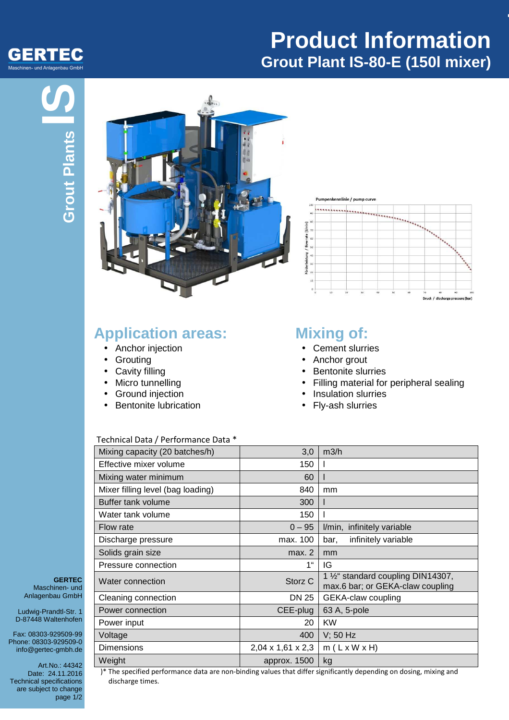

# **Product Information Grout Plant IS-80-E (150l mixer)**

**-**

# **Grout Plants**



### **Application areas:**

- Anchor injection
- Grouting
- Cavity filling
- Micro tunnelling
- Ground injection
- Bentonite lubrication

linie / pump curv



### **Mixing of:**

- Cement slurries
- Anchor grout
- Bentonite slurries
- Filling material for peripheral sealing
- Insulation slurries
- Fly-ash slurries

### Technical Data / Performance Data \*

| Mixing capacity (20 batches/h)    | 3,0                           | m3/h                                                                                |
|-----------------------------------|-------------------------------|-------------------------------------------------------------------------------------|
| Effective mixer volume            | 150                           |                                                                                     |
| Mixing water minimum              | 60                            |                                                                                     |
| Mixer filling level (bag loading) | 840                           | mm                                                                                  |
| Buffer tank volume                | 300                           |                                                                                     |
| Water tank volume                 | 150                           |                                                                                     |
| Flow rate                         | $0 - 95$                      | I/min, infinitely variable                                                          |
| Discharge pressure                | max. 100                      | infinitely variable<br>bar,                                                         |
| Solids grain size                 | max. 2                        | mm                                                                                  |
| Pressure connection               | 1"                            | IG                                                                                  |
| Water connection                  | Storz <sub>C</sub>            | 1 1/ <sub>2</sub> " standard coupling DIN14307,<br>max.6 bar; or GEKA-claw coupling |
| Cleaning connection               | DN 25                         | GEKA-claw coupling                                                                  |
| Power connection                  | CEE-plug                      | 63 A, 5-pole                                                                        |
| Power input                       | 20                            | <b>KW</b>                                                                           |
| Voltage                           | 400                           | $V$ ; 50 Hz                                                                         |
| <b>Dimensions</b>                 | $2,04 \times 1,61 \times 2,3$ | $m(L \times W \times H)$                                                            |
| Weight                            | approx. 1500                  | kg                                                                                  |

**GERTEC** Maschinen- und Anlagenbau GmbH

Ludwig-Prandtl-Str. 1 D-87448 Waltenhofen

Fax: 08303-929509-99 Phone: 08303-929509-0 info@gertec-gmbh.de

Art.No.: 44342 Date: 24.11.2016 Technical specifications are subject to change page 1/2

 )\* The specified performance data are non-binding values that differ significantly depending on dosing, mixing and discharge times.